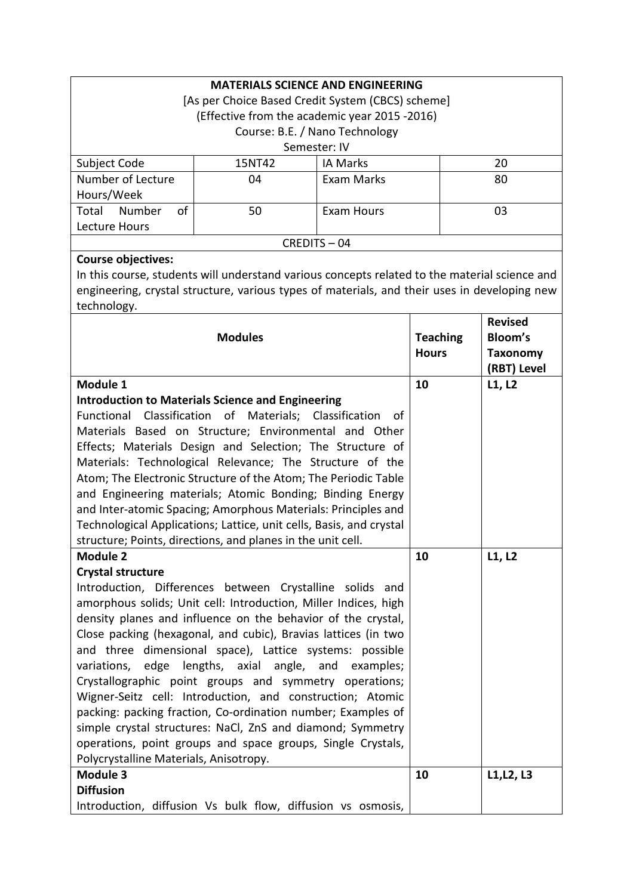| <b>MATERIALS SCIENCE AND ENGINEERING</b>          |        |                 |    |  |
|---------------------------------------------------|--------|-----------------|----|--|
| [As per Choice Based Credit System (CBCS) scheme] |        |                 |    |  |
| (Effective from the academic year 2015 -2016)     |        |                 |    |  |
| Course: B.E. / Nano Technology                    |        |                 |    |  |
| Semester: IV                                      |        |                 |    |  |
| Subject Code                                      | 15NT42 | <b>IA Marks</b> | 20 |  |
| Number of Lecture                                 | 04     | Exam Marks      | 80 |  |
| Hours/Week                                        |        |                 |    |  |
| Number<br>Total<br>of                             | 50     | Exam Hours      | 03 |  |
| Lecture Hours                                     |        |                 |    |  |
| $CRFDITS - 04$                                    |        |                 |    |  |

# **Course objectives:**

In this course, students will understand various concepts related to the material science and engineering, crystal structure, various types of materials, and their uses in developing new technology.

|                                                                     |                 | <b>Revised</b>  |
|---------------------------------------------------------------------|-----------------|-----------------|
| <b>Modules</b>                                                      | <b>Teaching</b> | <b>Bloom's</b>  |
|                                                                     | <b>Hours</b>    | <b>Taxonomy</b> |
|                                                                     |                 | (RBT) Level     |
| Module 1                                                            | 10              | L1, L2          |
| <b>Introduction to Materials Science and Engineering</b>            |                 |                 |
| Functional Classification of Materials; Classification<br>of        |                 |                 |
| Materials Based on Structure; Environmental and Other               |                 |                 |
| Effects; Materials Design and Selection; The Structure of           |                 |                 |
| Materials: Technological Relevance; The Structure of the            |                 |                 |
| Atom; The Electronic Structure of the Atom; The Periodic Table      |                 |                 |
| and Engineering materials; Atomic Bonding; Binding Energy           |                 |                 |
| and Inter-atomic Spacing; Amorphous Materials: Principles and       |                 |                 |
| Technological Applications; Lattice, unit cells, Basis, and crystal |                 |                 |
| structure; Points, directions, and planes in the unit cell.         |                 |                 |
| <b>Module 2</b>                                                     | 10              | L1, L2          |
| <b>Crystal structure</b>                                            |                 |                 |
| Introduction, Differences between Crystalline solids and            |                 |                 |
| amorphous solids; Unit cell: Introduction, Miller Indices, high     |                 |                 |
| density planes and influence on the behavior of the crystal,        |                 |                 |
| Close packing (hexagonal, and cubic), Bravias lattices (in two      |                 |                 |
| and three dimensional space), Lattice systems: possible             |                 |                 |
| edge<br>lengths, axial angle,<br>variations,<br>and<br>examples;    |                 |                 |
| Crystallographic point groups and symmetry operations;              |                 |                 |
| Wigner-Seitz cell: Introduction, and construction; Atomic           |                 |                 |
| packing: packing fraction, Co-ordination number; Examples of        |                 |                 |
| simple crystal structures: NaCl, ZnS and diamond; Symmetry          |                 |                 |
| operations, point groups and space groups, Single Crystals,         |                 |                 |
| Polycrystalline Materials, Anisotropy.                              |                 |                 |
| Module 3                                                            | 10              | L1, L2, L3      |
| <b>Diffusion</b>                                                    |                 |                 |
| Introduction, diffusion Vs bulk flow, diffusion vs osmosis,         |                 |                 |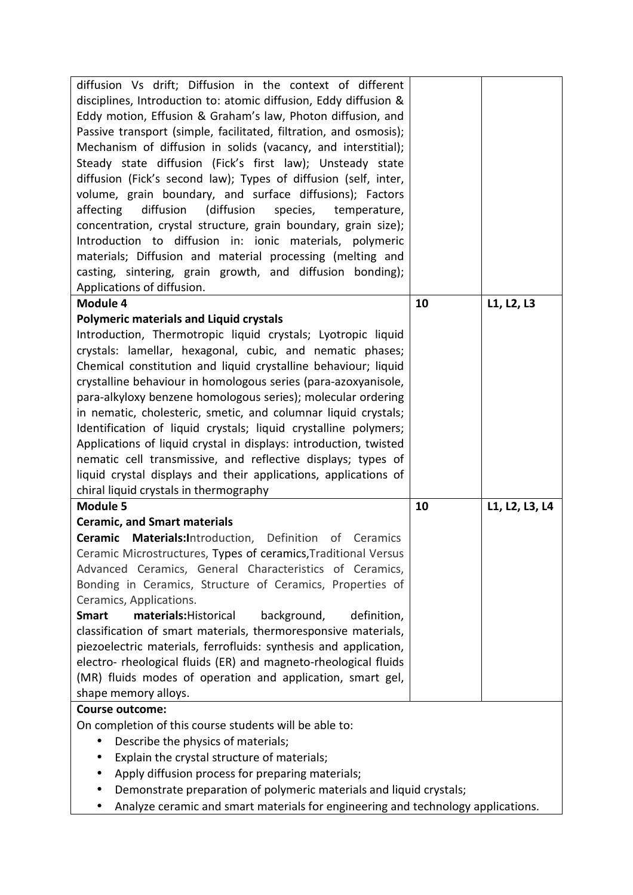| diffusion Vs drift; Diffusion in the context of different<br>disciplines, Introduction to: atomic diffusion, Eddy diffusion &<br>Eddy motion, Effusion & Graham's law, Photon diffusion, and<br>Passive transport (simple, facilitated, filtration, and osmosis);<br>Mechanism of diffusion in solids (vacancy, and interstitial);<br>Steady state diffusion (Fick's first law); Unsteady state<br>diffusion (Fick's second law); Types of diffusion (self, inter,<br>volume, grain boundary, and surface diffusions); Factors<br>affecting<br>diffusion<br>(diffusion<br>species,<br>temperature,<br>concentration, crystal structure, grain boundary, grain size);<br>Introduction to diffusion in: ionic materials, polymeric<br>materials; Diffusion and material processing (melting and<br>casting, sintering, grain growth, and diffusion bonding);<br>Applications of diffusion.<br>L1, L2, L3<br>Module 4<br>10<br><b>Polymeric materials and Liquid crystals</b><br>Introduction, Thermotropic liquid crystals; Lyotropic liquid<br>crystals: lamellar, hexagonal, cubic, and nematic phases;<br>Chemical constitution and liquid crystalline behaviour; liquid |
|---------------------------------------------------------------------------------------------------------------------------------------------------------------------------------------------------------------------------------------------------------------------------------------------------------------------------------------------------------------------------------------------------------------------------------------------------------------------------------------------------------------------------------------------------------------------------------------------------------------------------------------------------------------------------------------------------------------------------------------------------------------------------------------------------------------------------------------------------------------------------------------------------------------------------------------------------------------------------------------------------------------------------------------------------------------------------------------------------------------------------------------------------------------------------|
|                                                                                                                                                                                                                                                                                                                                                                                                                                                                                                                                                                                                                                                                                                                                                                                                                                                                                                                                                                                                                                                                                                                                                                           |
|                                                                                                                                                                                                                                                                                                                                                                                                                                                                                                                                                                                                                                                                                                                                                                                                                                                                                                                                                                                                                                                                                                                                                                           |
|                                                                                                                                                                                                                                                                                                                                                                                                                                                                                                                                                                                                                                                                                                                                                                                                                                                                                                                                                                                                                                                                                                                                                                           |
|                                                                                                                                                                                                                                                                                                                                                                                                                                                                                                                                                                                                                                                                                                                                                                                                                                                                                                                                                                                                                                                                                                                                                                           |
|                                                                                                                                                                                                                                                                                                                                                                                                                                                                                                                                                                                                                                                                                                                                                                                                                                                                                                                                                                                                                                                                                                                                                                           |
|                                                                                                                                                                                                                                                                                                                                                                                                                                                                                                                                                                                                                                                                                                                                                                                                                                                                                                                                                                                                                                                                                                                                                                           |
|                                                                                                                                                                                                                                                                                                                                                                                                                                                                                                                                                                                                                                                                                                                                                                                                                                                                                                                                                                                                                                                                                                                                                                           |
|                                                                                                                                                                                                                                                                                                                                                                                                                                                                                                                                                                                                                                                                                                                                                                                                                                                                                                                                                                                                                                                                                                                                                                           |
|                                                                                                                                                                                                                                                                                                                                                                                                                                                                                                                                                                                                                                                                                                                                                                                                                                                                                                                                                                                                                                                                                                                                                                           |
|                                                                                                                                                                                                                                                                                                                                                                                                                                                                                                                                                                                                                                                                                                                                                                                                                                                                                                                                                                                                                                                                                                                                                                           |
|                                                                                                                                                                                                                                                                                                                                                                                                                                                                                                                                                                                                                                                                                                                                                                                                                                                                                                                                                                                                                                                                                                                                                                           |
|                                                                                                                                                                                                                                                                                                                                                                                                                                                                                                                                                                                                                                                                                                                                                                                                                                                                                                                                                                                                                                                                                                                                                                           |
|                                                                                                                                                                                                                                                                                                                                                                                                                                                                                                                                                                                                                                                                                                                                                                                                                                                                                                                                                                                                                                                                                                                                                                           |
|                                                                                                                                                                                                                                                                                                                                                                                                                                                                                                                                                                                                                                                                                                                                                                                                                                                                                                                                                                                                                                                                                                                                                                           |
|                                                                                                                                                                                                                                                                                                                                                                                                                                                                                                                                                                                                                                                                                                                                                                                                                                                                                                                                                                                                                                                                                                                                                                           |
|                                                                                                                                                                                                                                                                                                                                                                                                                                                                                                                                                                                                                                                                                                                                                                                                                                                                                                                                                                                                                                                                                                                                                                           |
|                                                                                                                                                                                                                                                                                                                                                                                                                                                                                                                                                                                                                                                                                                                                                                                                                                                                                                                                                                                                                                                                                                                                                                           |
|                                                                                                                                                                                                                                                                                                                                                                                                                                                                                                                                                                                                                                                                                                                                                                                                                                                                                                                                                                                                                                                                                                                                                                           |
|                                                                                                                                                                                                                                                                                                                                                                                                                                                                                                                                                                                                                                                                                                                                                                                                                                                                                                                                                                                                                                                                                                                                                                           |
| crystalline behaviour in homologous series (para-azoxyanisole,                                                                                                                                                                                                                                                                                                                                                                                                                                                                                                                                                                                                                                                                                                                                                                                                                                                                                                                                                                                                                                                                                                            |
| para-alkyloxy benzene homologous series); molecular ordering                                                                                                                                                                                                                                                                                                                                                                                                                                                                                                                                                                                                                                                                                                                                                                                                                                                                                                                                                                                                                                                                                                              |
| in nematic, cholesteric, smetic, and columnar liquid crystals;                                                                                                                                                                                                                                                                                                                                                                                                                                                                                                                                                                                                                                                                                                                                                                                                                                                                                                                                                                                                                                                                                                            |
| Identification of liquid crystals; liquid crystalline polymers;                                                                                                                                                                                                                                                                                                                                                                                                                                                                                                                                                                                                                                                                                                                                                                                                                                                                                                                                                                                                                                                                                                           |
| Applications of liquid crystal in displays: introduction, twisted                                                                                                                                                                                                                                                                                                                                                                                                                                                                                                                                                                                                                                                                                                                                                                                                                                                                                                                                                                                                                                                                                                         |
| nematic cell transmissive, and reflective displays; types of                                                                                                                                                                                                                                                                                                                                                                                                                                                                                                                                                                                                                                                                                                                                                                                                                                                                                                                                                                                                                                                                                                              |
| liquid crystal displays and their applications, applications of                                                                                                                                                                                                                                                                                                                                                                                                                                                                                                                                                                                                                                                                                                                                                                                                                                                                                                                                                                                                                                                                                                           |
| chiral liquid crystals in thermography                                                                                                                                                                                                                                                                                                                                                                                                                                                                                                                                                                                                                                                                                                                                                                                                                                                                                                                                                                                                                                                                                                                                    |
| <b>Module 5</b><br>10<br>L1, L2, L3, L4                                                                                                                                                                                                                                                                                                                                                                                                                                                                                                                                                                                                                                                                                                                                                                                                                                                                                                                                                                                                                                                                                                                                   |
| <b>Ceramic, and Smart materials</b>                                                                                                                                                                                                                                                                                                                                                                                                                                                                                                                                                                                                                                                                                                                                                                                                                                                                                                                                                                                                                                                                                                                                       |
| Ceramic Materials:Introduction, Definition of Ceramics                                                                                                                                                                                                                                                                                                                                                                                                                                                                                                                                                                                                                                                                                                                                                                                                                                                                                                                                                                                                                                                                                                                    |
| Ceramic Microstructures, Types of ceramics, Traditional Versus                                                                                                                                                                                                                                                                                                                                                                                                                                                                                                                                                                                                                                                                                                                                                                                                                                                                                                                                                                                                                                                                                                            |
| Advanced Ceramics, General Characteristics of Ceramics,                                                                                                                                                                                                                                                                                                                                                                                                                                                                                                                                                                                                                                                                                                                                                                                                                                                                                                                                                                                                                                                                                                                   |
| Bonding in Ceramics, Structure of Ceramics, Properties of                                                                                                                                                                                                                                                                                                                                                                                                                                                                                                                                                                                                                                                                                                                                                                                                                                                                                                                                                                                                                                                                                                                 |
| Ceramics, Applications.                                                                                                                                                                                                                                                                                                                                                                                                                                                                                                                                                                                                                                                                                                                                                                                                                                                                                                                                                                                                                                                                                                                                                   |
| <b>Smart</b><br>materials: Historical<br>background,<br>definition,                                                                                                                                                                                                                                                                                                                                                                                                                                                                                                                                                                                                                                                                                                                                                                                                                                                                                                                                                                                                                                                                                                       |
| classification of smart materials, thermoresponsive materials,                                                                                                                                                                                                                                                                                                                                                                                                                                                                                                                                                                                                                                                                                                                                                                                                                                                                                                                                                                                                                                                                                                            |
| piezoelectric materials, ferrofluids: synthesis and application,                                                                                                                                                                                                                                                                                                                                                                                                                                                                                                                                                                                                                                                                                                                                                                                                                                                                                                                                                                                                                                                                                                          |
| electro- rheological fluids (ER) and magneto-rheological fluids                                                                                                                                                                                                                                                                                                                                                                                                                                                                                                                                                                                                                                                                                                                                                                                                                                                                                                                                                                                                                                                                                                           |
| (MR) fluids modes of operation and application, smart gel,                                                                                                                                                                                                                                                                                                                                                                                                                                                                                                                                                                                                                                                                                                                                                                                                                                                                                                                                                                                                                                                                                                                |
| shape memory alloys.                                                                                                                                                                                                                                                                                                                                                                                                                                                                                                                                                                                                                                                                                                                                                                                                                                                                                                                                                                                                                                                                                                                                                      |
| <b>Course outcome:</b>                                                                                                                                                                                                                                                                                                                                                                                                                                                                                                                                                                                                                                                                                                                                                                                                                                                                                                                                                                                                                                                                                                                                                    |
| On completion of this course students will be able to:                                                                                                                                                                                                                                                                                                                                                                                                                                                                                                                                                                                                                                                                                                                                                                                                                                                                                                                                                                                                                                                                                                                    |
| Describe the physics of materials;<br>$\bullet$                                                                                                                                                                                                                                                                                                                                                                                                                                                                                                                                                                                                                                                                                                                                                                                                                                                                                                                                                                                                                                                                                                                           |
| Explain the crystal structure of materials;                                                                                                                                                                                                                                                                                                                                                                                                                                                                                                                                                                                                                                                                                                                                                                                                                                                                                                                                                                                                                                                                                                                               |
| Apply diffusion process for preparing materials;<br>$\bullet$                                                                                                                                                                                                                                                                                                                                                                                                                                                                                                                                                                                                                                                                                                                                                                                                                                                                                                                                                                                                                                                                                                             |
| Demonstrate preparation of polymeric materials and liquid crystals;                                                                                                                                                                                                                                                                                                                                                                                                                                                                                                                                                                                                                                                                                                                                                                                                                                                                                                                                                                                                                                                                                                       |
| Analyze ceramic and smart materials for engineering and technology applications.                                                                                                                                                                                                                                                                                                                                                                                                                                                                                                                                                                                                                                                                                                                                                                                                                                                                                                                                                                                                                                                                                          |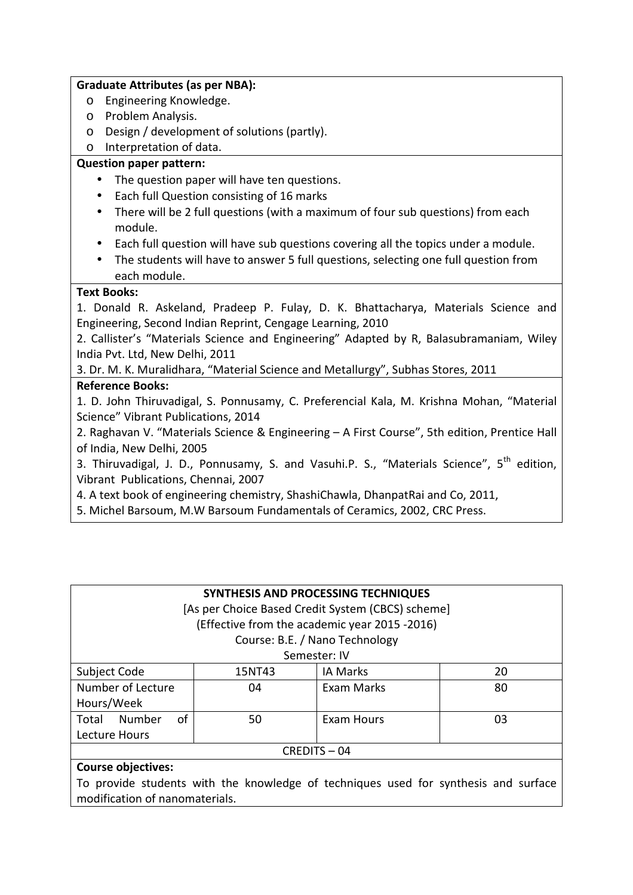#### **Graduate Attributes (as per NBA):**

- o Engineering Knowledge.
- o Problem Analysis.
- o Design / development of solutions (partly).
- o Interpretation of data.

## **Question paper pattern:**

- The question paper will have ten questions.
- Each full Question consisting of 16 marks
- There will be 2 full questions (with a maximum of four sub questions) from each module.
- Each full question will have sub questions covering all the topics under a module.
- The students will have to answer 5 full questions, selecting one full question from each module.

### **Text Books:**

1. Donald R. Askeland, Pradeep P. Fulay, D. K. Bhattacharya, Materials Science and Engineering, Second Indian Reprint, Cengage Learning, 2010

2. Callister's "Materials Science and Engineering" Adapted by R, Balasubramaniam, Wiley India Pvt. Ltd, New Delhi, 2011

3. Dr. M. K. Muralidhara, "Material Science and Metallurgy", Subhas Stores, 2011

# **Reference Books:**

1. D. John Thiruvadigal, S. Ponnusamy, C. Preferencial Kala, M. Krishna Mohan, "Material Science" Vibrant Publications, 2014

2. Raghavan V. "Materials Science & Engineering – A First Course", 5th edition, Prentice Hall of India, New Delhi, 2005

3. Thiruvadigal, J. D., Ponnusamy, S. and Vasuhi.P. S., "Materials Science", 5<sup>th</sup> edition, Vibrant Publications, Chennai, 2007

4. A text book of engineering chemistry, ShashiChawla, DhanpatRai and Co, 2011,

5. Michel Barsoum, M.W Barsoum Fundamentals of Ceramics, 2002, CRC Press.

| SYNTHESIS AND PROCESSING TECHNIQUES               |        |                   |    |  |
|---------------------------------------------------|--------|-------------------|----|--|
| [As per Choice Based Credit System (CBCS) scheme] |        |                   |    |  |
| (Effective from the academic year 2015 -2016)     |        |                   |    |  |
| Course: B.E. / Nano Technology                    |        |                   |    |  |
| Semester: IV                                      |        |                   |    |  |
| Subject Code                                      | 15NT43 | <b>IA Marks</b>   | 20 |  |
| Number of Lecture                                 | 04     | <b>Exam Marks</b> | 80 |  |
| Hours/Week                                        |        |                   |    |  |
| Number<br>of<br>Total                             | 50     | <b>Exam Hours</b> | 03 |  |
| Lecture Hours                                     |        |                   |    |  |
| CREDITS-04                                        |        |                   |    |  |
| <b>Course objectives:</b>                         |        |                   |    |  |

To provide students with the knowledge of techniques used for synthesis and surface modification of nanomaterials.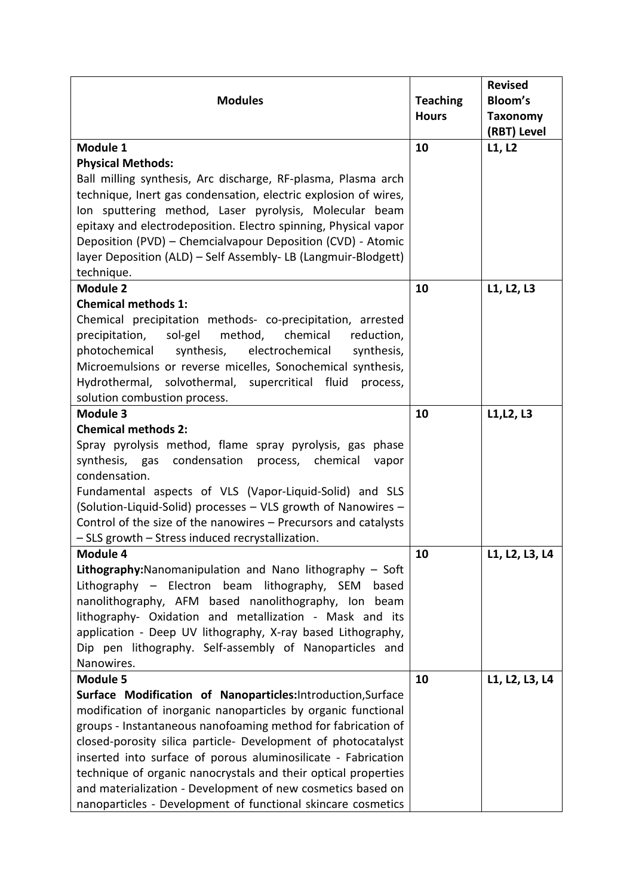|                                                                    |                 | <b>Revised</b>  |
|--------------------------------------------------------------------|-----------------|-----------------|
| <b>Modules</b>                                                     | <b>Teaching</b> | <b>Bloom's</b>  |
|                                                                    | <b>Hours</b>    | <b>Taxonomy</b> |
|                                                                    |                 | (RBT) Level     |
| Module 1                                                           | 10              | L1, L2          |
| <b>Physical Methods:</b>                                           |                 |                 |
| Ball milling synthesis, Arc discharge, RF-plasma, Plasma arch      |                 |                 |
| technique, Inert gas condensation, electric explosion of wires,    |                 |                 |
| Ion sputtering method, Laser pyrolysis, Molecular beam             |                 |                 |
| epitaxy and electrodeposition. Electro spinning, Physical vapor    |                 |                 |
| Deposition (PVD) - Chemcialvapour Deposition (CVD) - Atomic        |                 |                 |
| layer Deposition (ALD) - Self Assembly- LB (Langmuir-Blodgett)     |                 |                 |
| technique.                                                         |                 |                 |
| <b>Module 2</b>                                                    | 10              | L1, L2, L3      |
| <b>Chemical methods 1:</b>                                         |                 |                 |
| Chemical precipitation methods- co-precipitation, arrested         |                 |                 |
| method,<br>precipitation,<br>sol-gel<br>chemical<br>reduction,     |                 |                 |
| photochemical<br>synthesis,<br>electrochemical<br>synthesis,       |                 |                 |
| Microemulsions or reverse micelles, Sonochemical synthesis,        |                 |                 |
| Hydrothermal, solvothermal, supercritical fluid<br>process,        |                 |                 |
| solution combustion process.                                       |                 |                 |
| Module 3                                                           | 10              | L1, L2, L3      |
| <b>Chemical methods 2:</b>                                         |                 |                 |
| Spray pyrolysis method, flame spray pyrolysis, gas phase           |                 |                 |
| synthesis, gas condensation<br>process, chemical<br>vapor          |                 |                 |
| condensation.                                                      |                 |                 |
| Fundamental aspects of VLS (Vapor-Liquid-Solid) and SLS            |                 |                 |
| (Solution-Liquid-Solid) processes - VLS growth of Nanowires -      |                 |                 |
| Control of the size of the nanowires - Precursors and catalysts    |                 |                 |
| - SLS growth - Stress induced recrystallization.                   |                 |                 |
| Module 4                                                           | 10              | L1, L2, L3, L4  |
| <b>Lithography:</b> Nanomanipulation and Nano lithography $-$ Soft |                 |                 |
| Lithography - Electron beam lithography, SEM<br>based              |                 |                 |
| nanolithography, AFM based nanolithography, Ion beam               |                 |                 |
| lithography- Oxidation and metallization - Mask and its            |                 |                 |
| application - Deep UV lithography, X-ray based Lithography,        |                 |                 |
| Dip pen lithography. Self-assembly of Nanoparticles and            |                 |                 |
| Nanowires.                                                         |                 |                 |
| Module 5                                                           | 10              | L1, L2, L3, L4  |
| Surface Modification of Nanoparticles: Introduction, Surface       |                 |                 |
| modification of inorganic nanoparticles by organic functional      |                 |                 |
| groups - Instantaneous nanofoaming method for fabrication of       |                 |                 |
| closed-porosity silica particle- Development of photocatalyst      |                 |                 |
| inserted into surface of porous aluminosilicate - Fabrication      |                 |                 |
| technique of organic nanocrystals and their optical properties     |                 |                 |
| and materialization - Development of new cosmetics based on        |                 |                 |
| nanoparticles - Development of functional skincare cosmetics       |                 |                 |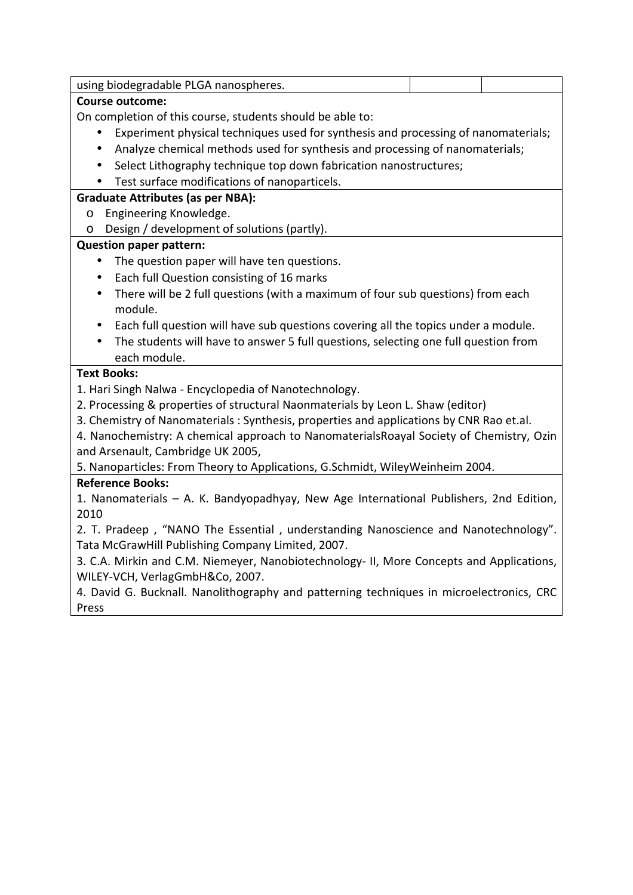| using biodegradable PLGA nanospheres.                                                           |  |  |  |  |
|-------------------------------------------------------------------------------------------------|--|--|--|--|
| <b>Course outcome:</b>                                                                          |  |  |  |  |
| On completion of this course, students should be able to:                                       |  |  |  |  |
| Experiment physical techniques used for synthesis and processing of nanomaterials;              |  |  |  |  |
| Analyze chemical methods used for synthesis and processing of nanomaterials;<br>$\bullet$       |  |  |  |  |
| Select Lithography technique top down fabrication nanostructures;                               |  |  |  |  |
| Test surface modifications of nanoparticels.                                                    |  |  |  |  |
| <b>Graduate Attributes (as per NBA):</b>                                                        |  |  |  |  |
| Engineering Knowledge.<br>$\circ$                                                               |  |  |  |  |
| Design / development of solutions (partly).<br>O                                                |  |  |  |  |
| <b>Question paper pattern:</b>                                                                  |  |  |  |  |
| The question paper will have ten questions.                                                     |  |  |  |  |
| Each full Question consisting of 16 marks<br>$\bullet$                                          |  |  |  |  |
| There will be 2 full questions (with a maximum of four sub questions) from each<br>$\bullet$    |  |  |  |  |
| module.                                                                                         |  |  |  |  |
| Each full question will have sub questions covering all the topics under a module.<br>$\bullet$ |  |  |  |  |
| The students will have to answer 5 full questions, selecting one full question from             |  |  |  |  |
| each module.                                                                                    |  |  |  |  |
| <b>Text Books:</b>                                                                              |  |  |  |  |
| 1. Hari Singh Nalwa - Encyclopedia of Nanotechnology.                                           |  |  |  |  |
| 2. Processing & properties of structural Naonmaterials by Leon L. Shaw (editor)                 |  |  |  |  |
| 3. Chemistry of Nanomaterials: Synthesis, properties and applications by CNR Rao et.al.         |  |  |  |  |
| 4. Nanochemistry: A chemical approach to Nanomaterials Roayal Society of Chemistry, Ozin        |  |  |  |  |
| and Arsenault, Cambridge UK 2005,                                                               |  |  |  |  |
| 5. Nanoparticles: From Theory to Applications, G.Schmidt, WileyWeinheim 2004.                   |  |  |  |  |
| <b>Reference Books:</b>                                                                         |  |  |  |  |
| 1. Nanomaterials - A. K. Bandyopadhyay, New Age International Publishers, 2nd Edition,          |  |  |  |  |
| 2010                                                                                            |  |  |  |  |
| 2. T. Pradeep, "NANO The Essential, understanding Nanoscience and Nanotechnology".              |  |  |  |  |
| Tata McGrawHill Publishing Company Limited, 2007.                                               |  |  |  |  |
| 3. C.A. Mirkin and C.M. Niemeyer, Nanobiotechnology- II, More Concepts and Applications,        |  |  |  |  |
| WILEY-VCH, VerlagGmbH&Co, 2007.                                                                 |  |  |  |  |
| 4. David G. Bucknall. Nanolithography and patterning techniques in microelectronics, CRC        |  |  |  |  |
| Press                                                                                           |  |  |  |  |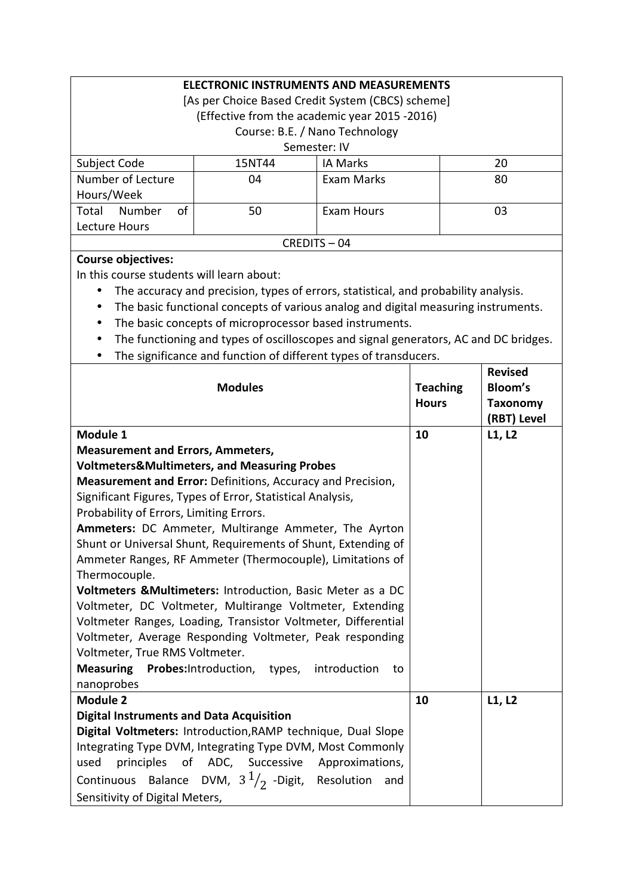| <b>ELECTRONIC INSTRUMENTS AND MEASUREMENTS</b>    |        |                 |    |  |
|---------------------------------------------------|--------|-----------------|----|--|
| [As per Choice Based Credit System (CBCS) scheme] |        |                 |    |  |
| (Effective from the academic year 2015 -2016)     |        |                 |    |  |
| Course: B.E. / Nano Technology                    |        |                 |    |  |
| Semester: IV                                      |        |                 |    |  |
| Subject Code                                      | 15NT44 | <b>IA Marks</b> | 20 |  |
| Number of Lecture                                 | 04     | Exam Marks      | 80 |  |
| Hours/Week                                        |        |                 |    |  |
| οf<br>Number<br>Total                             | 50     | Exam Hours      | 03 |  |
| Lecture Hours                                     |        |                 |    |  |
| $CRFDITS - 04$                                    |        |                 |    |  |

#### **Course objectives:**

In this course students will learn about:

- The accuracy and precision, types of errors, statistical, and probability analysis.
- The basic functional concepts of various analog and digital measuring instruments.
- The basic concepts of microprocessor based instruments.
- The functioning and types of oscilloscopes and signal generators, AC and DC bridges.
- The significance and function of different types of transducers.

|                                                                  |                 | <b>Revised</b>  |
|------------------------------------------------------------------|-----------------|-----------------|
| <b>Modules</b>                                                   | <b>Teaching</b> | <b>Bloom's</b>  |
|                                                                  | <b>Hours</b>    | <b>Taxonomy</b> |
|                                                                  |                 | (RBT) Level     |
| Module 1                                                         | 10              | L1, L2          |
| <b>Measurement and Errors, Ammeters,</b>                         |                 |                 |
| <b>Voltmeters&amp;Multimeters, and Measuring Probes</b>          |                 |                 |
| Measurement and Error: Definitions, Accuracy and Precision,      |                 |                 |
| Significant Figures, Types of Error, Statistical Analysis,       |                 |                 |
| Probability of Errors, Limiting Errors.                          |                 |                 |
| Ammeters: DC Ammeter, Multirange Ammeter, The Ayrton             |                 |                 |
| Shunt or Universal Shunt, Requirements of Shunt, Extending of    |                 |                 |
| Ammeter Ranges, RF Ammeter (Thermocouple), Limitations of        |                 |                 |
| Thermocouple.                                                    |                 |                 |
| Voltmeters & Multimeters: Introduction, Basic Meter as a DC      |                 |                 |
| Voltmeter, DC Voltmeter, Multirange Voltmeter, Extending         |                 |                 |
| Voltmeter Ranges, Loading, Transistor Voltmeter, Differential    |                 |                 |
| Voltmeter, Average Responding Voltmeter, Peak responding         |                 |                 |
| Voltmeter, True RMS Voltmeter.                                   |                 |                 |
| Measuring Probes: Introduction, types, introduction<br>to        |                 |                 |
| nanoprobes                                                       |                 |                 |
| <b>Module 2</b>                                                  | 10              | L1, L2          |
| <b>Digital Instruments and Data Acquisition</b>                  |                 |                 |
| Digital Voltmeters: Introduction, RAMP technique, Dual Slope     |                 |                 |
| Integrating Type DVM, Integrating Type DVM, Most Commonly        |                 |                 |
| principles of ADC, Successive Approximations,<br>used            |                 |                 |
| Continuous Balance DVM, $3\frac{1}{2}$ -Digit, Resolution<br>and |                 |                 |
| Sensitivity of Digital Meters,                                   |                 |                 |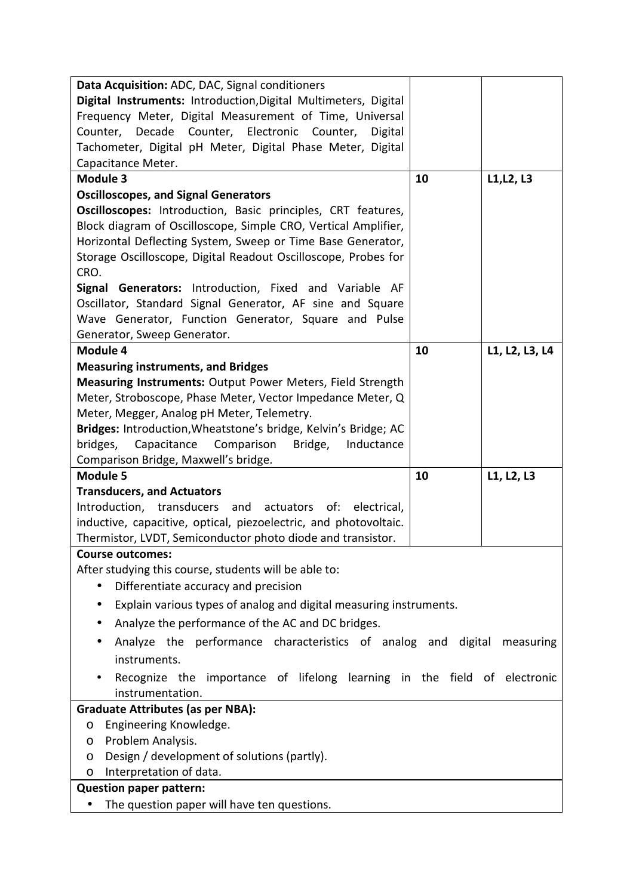| Data Acquisition: ADC, DAC, Signal conditioners                                 |    |                |
|---------------------------------------------------------------------------------|----|----------------|
| Digital Instruments: Introduction, Digital Multimeters, Digital                 |    |                |
| Frequency Meter, Digital Measurement of Time, Universal                         |    |                |
| Counter, Decade Counter, Electronic Counter,<br>Digital                         |    |                |
| Tachometer, Digital pH Meter, Digital Phase Meter, Digital                      |    |                |
| Capacitance Meter.                                                              |    |                |
| <b>Module 3</b>                                                                 | 10 | L1, L2, L3     |
| <b>Oscilloscopes, and Signal Generators</b>                                     |    |                |
| Oscilloscopes: Introduction, Basic principles, CRT features,                    |    |                |
| Block diagram of Oscilloscope, Simple CRO, Vertical Amplifier,                  |    |                |
| Horizontal Deflecting System, Sweep or Time Base Generator,                     |    |                |
| Storage Oscilloscope, Digital Readout Oscilloscope, Probes for                  |    |                |
| CRO.                                                                            |    |                |
| Signal Generators: Introduction, Fixed and Variable AF                          |    |                |
| Oscillator, Standard Signal Generator, AF sine and Square                       |    |                |
| Wave Generator, Function Generator, Square and Pulse                            |    |                |
| Generator, Sweep Generator.                                                     |    |                |
| Module 4                                                                        | 10 | L1, L2, L3, L4 |
| <b>Measuring instruments, and Bridges</b>                                       |    |                |
| Measuring Instruments: Output Power Meters, Field Strength                      |    |                |
| Meter, Stroboscope, Phase Meter, Vector Impedance Meter, Q                      |    |                |
| Meter, Megger, Analog pH Meter, Telemetry.                                      |    |                |
| Bridges: Introduction, Wheatstone's bridge, Kelvin's Bridge; AC                 |    |                |
| bridges,<br>Capacitance<br>Comparison Bridge,<br>Inductance                     |    |                |
| Comparison Bridge, Maxwell's bridge.                                            |    |                |
| <b>Module 5</b>                                                                 |    |                |
|                                                                                 | 10 | L1, L2, L3     |
| <b>Transducers, and Actuators</b>                                               |    |                |
| Introduction, transducers<br>and<br>actuators<br>of:<br>electrical,             |    |                |
| inductive, capacitive, optical, piezoelectric, and photovoltaic.                |    |                |
| Thermistor, LVDT, Semiconductor photo diode and transistor.                     |    |                |
| <b>Course outcomes:</b>                                                         |    |                |
| After studying this course, students will be able to:                           |    |                |
| Differentiate accuracy and precision<br>$\bullet$                               |    |                |
| Explain various types of analog and digital measuring instruments.<br>$\bullet$ |    |                |
| Analyze the performance of the AC and DC bridges.                               |    |                |
| Analyze the performance characteristics of analog and digital measuring         |    |                |
| instruments.                                                                    |    |                |
| Recognize the importance of lifelong learning in the field of electronic        |    |                |
| instrumentation.                                                                |    |                |
| <b>Graduate Attributes (as per NBA):</b>                                        |    |                |
| Engineering Knowledge.<br>O                                                     |    |                |
| Problem Analysis.<br>O                                                          |    |                |
| Design / development of solutions (partly).<br>O                                |    |                |
| Interpretation of data.<br>O                                                    |    |                |
| <b>Question paper pattern:</b><br>The question paper will have ten questions.   |    |                |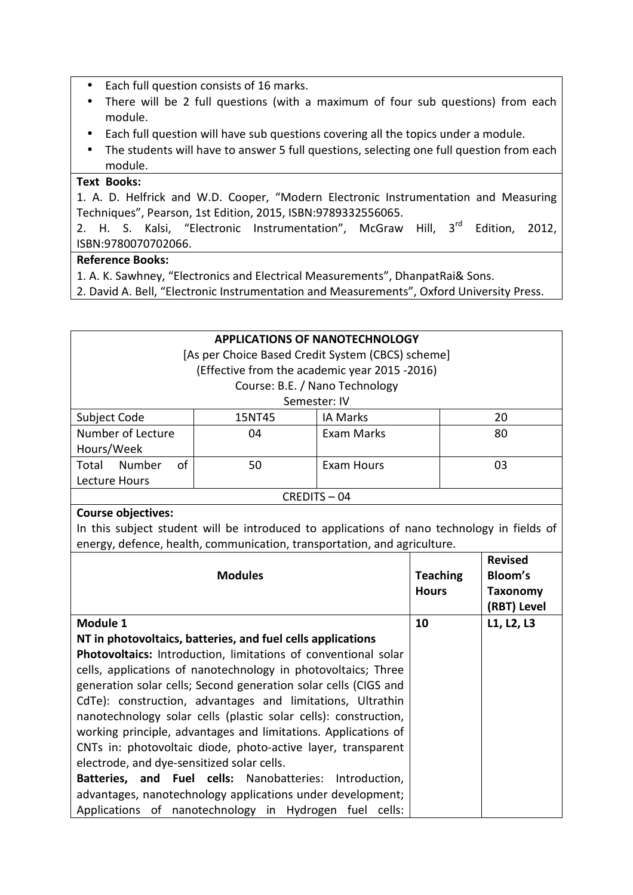- Each full question consists of 16 marks.
- There will be 2 full questions (with a maximum of four sub questions) from each module.
- Each full question will have sub questions covering all the topics under a module.
- The students will have to answer 5 full questions, selecting one full question from each module.

#### **Text Books:**

1. A. D. Helfrick and W.D. Cooper, "Modern Electronic Instrumentation and Measuring Techniques", Pearson, 1st Edition, 2015, ISBN:9789332556065.

2. H. S. Kalsi, "Electronic Instrumentation", McGraw Hill, 3<sup>rd</sup> Edition, 2012, ISBN:9780070702066.

#### **Reference Books:**

- 1. A. K. Sawhney, "Electronics and Electrical Measurements", DhanpatRai& Sons.
- 2. David A. Bell, "Electronic Instrumentation and Measurements", Oxford University Press.

| <b>APPLICATIONS OF NANOTECHNOLOGY</b>                                                      |                                               |                                |                 |                 |
|--------------------------------------------------------------------------------------------|-----------------------------------------------|--------------------------------|-----------------|-----------------|
| [As per Choice Based Credit System (CBCS) scheme]                                          |                                               |                                |                 |                 |
|                                                                                            |                                               |                                |                 |                 |
|                                                                                            | (Effective from the academic year 2015 -2016) |                                |                 |                 |
|                                                                                            |                                               | Course: B.E. / Nano Technology |                 |                 |
|                                                                                            |                                               | Semester: IV                   |                 |                 |
| Subject Code                                                                               | 15NT45                                        | <b>IA Marks</b>                |                 | 20              |
| Number of Lecture                                                                          | 04                                            | Exam Marks                     |                 | 80              |
| Hours/Week                                                                                 |                                               |                                |                 |                 |
| Total Number<br>οf                                                                         | 50                                            | <b>Exam Hours</b>              |                 | 03              |
| Lecture Hours                                                                              |                                               |                                |                 |                 |
| CREDITS-04                                                                                 |                                               |                                |                 |                 |
| <b>Course objectives:</b>                                                                  |                                               |                                |                 |                 |
| In this subject student will be introduced to applications of nano technology in fields of |                                               |                                |                 |                 |
| energy, defence, health, communication, transportation, and agriculture.                   |                                               |                                |                 |                 |
|                                                                                            |                                               |                                |                 | <b>Revised</b>  |
|                                                                                            | <b>Modules</b>                                |                                | <b>Teaching</b> | Bloom's         |
|                                                                                            |                                               |                                | <b>Hours</b>    | <b>Taxonomy</b> |
|                                                                                            |                                               |                                |                 | (RBT) Level     |
|                                                                                            |                                               |                                |                 |                 |
| Module 1                                                                                   |                                               |                                | 10              | L1, L2, L3      |

**NT in photovoltaics, batteries, and fuel cells applications Photovoltaics:** Introduction, limitations of conventional solar cells, applications of nanotechnology in photovoltaics; Three generation solar cells; Second generation solar cells (CIGS and CdTe): construction, advantages and limitations, Ultrathin nanotechnology solar cells (plastic solar cells): construction, working principle, advantages and limitations. Applications of CNTs in: photovoltaic diode, photo-active layer, transparent electrode, and dye-sensitized solar cells. **Batteries, and Fuel cells:** Nanobatteries: Introduction, advantages, nanotechnology applications under development; Applications of nanotechnology in Hydrogen fuel cells: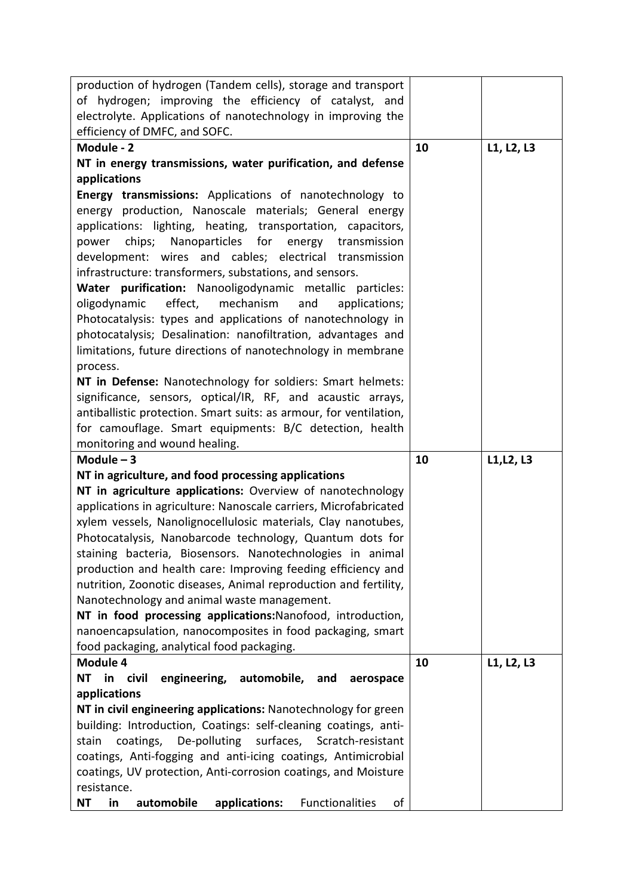| production of hydrogen (Tandem cells), storage and transport                                                                         |    |            |
|--------------------------------------------------------------------------------------------------------------------------------------|----|------------|
| of hydrogen; improving the efficiency of catalyst, and                                                                               |    |            |
| electrolyte. Applications of nanotechnology in improving the                                                                         |    |            |
| efficiency of DMFC, and SOFC.                                                                                                        |    |            |
| Module - 2                                                                                                                           | 10 | L1, L2, L3 |
| NT in energy transmissions, water purification, and defense                                                                          |    |            |
| applications                                                                                                                         |    |            |
| Energy transmissions: Applications of nanotechnology to                                                                              |    |            |
| energy production, Nanoscale materials; General energy                                                                               |    |            |
| applications: lighting, heating, transportation, capacitors,                                                                         |    |            |
| chips; Nanoparticles for energy transmission<br>power                                                                                |    |            |
| development: wires and cables; electrical transmission                                                                               |    |            |
| infrastructure: transformers, substations, and sensors.                                                                              |    |            |
| Water purification: Nanooligodynamic metallic particles:                                                                             |    |            |
| effect, mechanism<br>and<br>oligodynamic<br>applications;                                                                            |    |            |
| Photocatalysis: types and applications of nanotechnology in                                                                          |    |            |
| photocatalysis; Desalination: nanofiltration, advantages and                                                                         |    |            |
| limitations, future directions of nanotechnology in membrane                                                                         |    |            |
| process.                                                                                                                             |    |            |
| NT in Defense: Nanotechnology for soldiers: Smart helmets:                                                                           |    |            |
| significance, sensors, optical/IR, RF, and acaustic arrays,                                                                          |    |            |
| antiballistic protection. Smart suits: as armour, for ventilation,                                                                   |    |            |
| for camouflage. Smart equipments: B/C detection, health                                                                              |    |            |
| monitoring and wound healing.                                                                                                        |    |            |
|                                                                                                                                      |    |            |
| Module $-3$                                                                                                                          | 10 | L1, L2, L3 |
| NT in agriculture, and food processing applications                                                                                  |    |            |
| NT in agriculture applications: Overview of nanotechnology                                                                           |    |            |
| applications in agriculture: Nanoscale carriers, Microfabricated                                                                     |    |            |
| xylem vessels, Nanolignocellulosic materials, Clay nanotubes,                                                                        |    |            |
| Photocatalysis, Nanobarcode technology, Quantum dots for                                                                             |    |            |
| staining bacteria, Biosensors. Nanotechnologies in animal                                                                            |    |            |
| production and health care: Improving feeding efficiency and                                                                         |    |            |
| nutrition, Zoonotic diseases, Animal reproduction and fertility,                                                                     |    |            |
| Nanotechnology and animal waste management.                                                                                          |    |            |
| NT in food processing applications: Nanofood, introduction,                                                                          |    |            |
| nanoencapsulation, nanocomposites in food packaging, smart                                                                           |    |            |
| food packaging, analytical food packaging.                                                                                           |    |            |
| Module 4                                                                                                                             | 10 | L1, L2, L3 |
| NT in civil<br>engineering, automobile, and<br>aerospace                                                                             |    |            |
| applications                                                                                                                         |    |            |
| NT in civil engineering applications: Nanotechnology for green                                                                       |    |            |
| building: Introduction, Coatings: self-cleaning coatings, anti-<br>De-polluting<br>surfaces, Scratch-resistant<br>coatings,<br>stain |    |            |
| coatings, Anti-fogging and anti-icing coatings, Antimicrobial                                                                        |    |            |
| coatings, UV protection, Anti-corrosion coatings, and Moisture                                                                       |    |            |
| resistance.                                                                                                                          |    |            |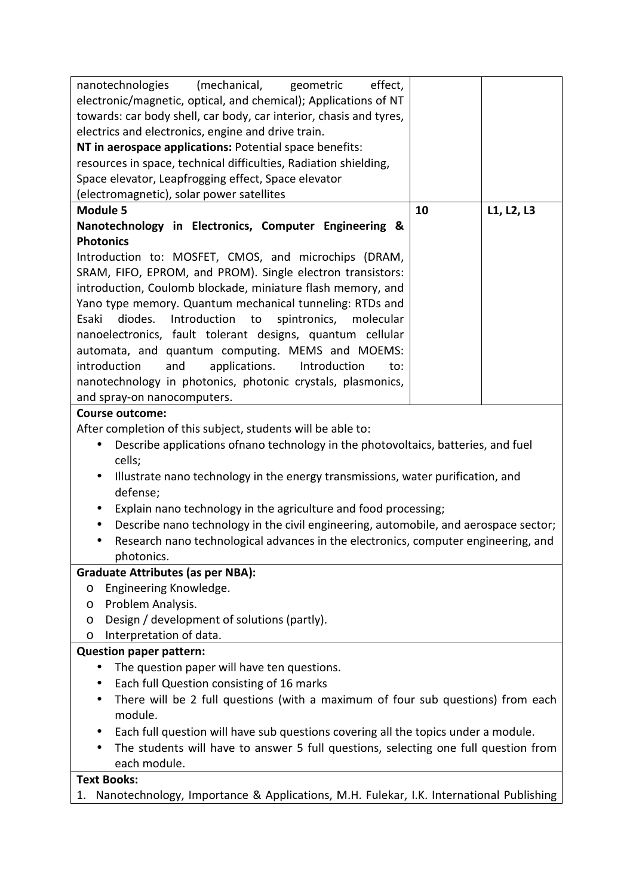| nanotechnologies (mechanical, geometric<br>effect,                                                                                                                                      |    |            |  |
|-----------------------------------------------------------------------------------------------------------------------------------------------------------------------------------------|----|------------|--|
| electronic/magnetic, optical, and chemical); Applications of NT                                                                                                                         |    |            |  |
| towards: car body shell, car body, car interior, chasis and tyres,                                                                                                                      |    |            |  |
| electrics and electronics, engine and drive train.                                                                                                                                      |    |            |  |
| NT in aerospace applications: Potential space benefits:                                                                                                                                 |    |            |  |
| resources in space, technical difficulties, Radiation shielding,                                                                                                                        |    |            |  |
| Space elevator, Leapfrogging effect, Space elevator                                                                                                                                     |    |            |  |
| (electromagnetic), solar power satellites                                                                                                                                               |    |            |  |
| <b>Module 5</b>                                                                                                                                                                         | 10 | L1, L2, L3 |  |
| Nanotechnology in Electronics, Computer Engineering &                                                                                                                                   |    |            |  |
| <b>Photonics</b>                                                                                                                                                                        |    |            |  |
| Introduction to: MOSFET, CMOS, and microchips (DRAM,                                                                                                                                    |    |            |  |
| SRAM, FIFO, EPROM, and PROM). Single electron transistors:                                                                                                                              |    |            |  |
| introduction, Coulomb blockade, miniature flash memory, and                                                                                                                             |    |            |  |
| Yano type memory. Quantum mechanical tunneling: RTDs and                                                                                                                                |    |            |  |
| diodes.<br>Introduction<br>spintronics,<br>Esaki<br>to<br>molecular                                                                                                                     |    |            |  |
| nanoelectronics, fault tolerant designs, quantum cellular                                                                                                                               |    |            |  |
| automata, and quantum computing. MEMS and MOEMS:                                                                                                                                        |    |            |  |
| and<br>applications.<br>Introduction<br>introduction<br>to:                                                                                                                             |    |            |  |
| nanotechnology in photonics, photonic crystals, plasmonics,                                                                                                                             |    |            |  |
| and spray-on nanocomputers.                                                                                                                                                             |    |            |  |
| <b>Course outcome:</b>                                                                                                                                                                  |    |            |  |
| After completion of this subject, students will be able to:                                                                                                                             |    |            |  |
| Describe applications of nano technology in the photovoltaics, batteries, and fuel<br>$\bullet$                                                                                         |    |            |  |
| cells;                                                                                                                                                                                  |    |            |  |
| Illustrate nano technology in the energy transmissions, water purification, and                                                                                                         |    |            |  |
| defense;                                                                                                                                                                                |    |            |  |
| Explain nano technology in the agriculture and food processing;<br>$\bullet$                                                                                                            |    |            |  |
| $\bullet$                                                                                                                                                                               |    |            |  |
| Describe nano technology in the civil engineering, automobile, and aerospace sector;<br>Research nano technological advances in the electronics, computer engineering, and<br>$\bullet$ |    |            |  |
| photonics.                                                                                                                                                                              |    |            |  |
| <b>Graduate Attributes (as per NBA):</b>                                                                                                                                                |    |            |  |
| Engineering Knowledge.                                                                                                                                                                  |    |            |  |
| O<br>Problem Analysis.                                                                                                                                                                  |    |            |  |
| O<br>Design / development of solutions (partly).                                                                                                                                        |    |            |  |
| O<br>Interpretation of data.                                                                                                                                                            |    |            |  |
| O<br><b>Question paper pattern:</b>                                                                                                                                                     |    |            |  |
|                                                                                                                                                                                         |    |            |  |
| The question paper will have ten questions.<br>$\bullet$                                                                                                                                |    |            |  |
| Each full Question consisting of 16 marks<br>$\bullet$                                                                                                                                  |    |            |  |
| There will be 2 full questions (with a maximum of four sub questions) from each                                                                                                         |    |            |  |
| module.                                                                                                                                                                                 |    |            |  |
| Each full question will have sub questions covering all the topics under a module.                                                                                                      |    |            |  |
| The students will have to answer 5 full questions, selecting one full question from                                                                                                     |    |            |  |
| each module.                                                                                                                                                                            |    |            |  |
| <b>Text Books:</b>                                                                                                                                                                      |    |            |  |
| Nanotechnology, Importance & Applications, M.H. Fulekar, I.K. International Publishing<br>1.                                                                                            |    |            |  |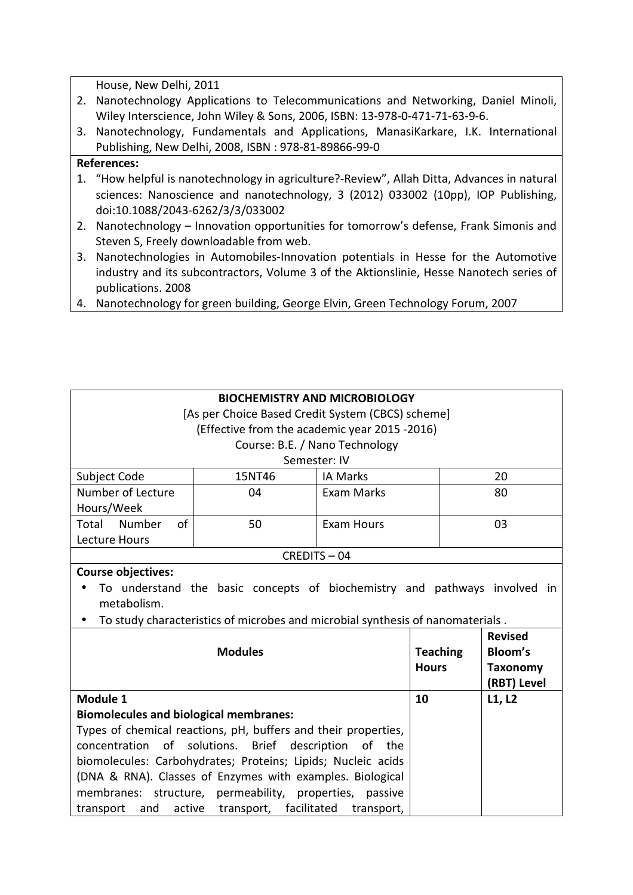House, New Delhi, 2011

- 2. Nanotechnology Applications to Telecommunications and Networking, Daniel Minoli, Wiley Interscience, John Wiley & Sons, 2006, ISBN: 13-978-0-471-71-63-9-6.
- 3. Nanotechnology, Fundamentals and Applications, ManasiKarkare, I.K. International Publishing, New Delhi, 2008, ISBN : 978-81-89866-99-0

## **References:**

- 1. "How helpful is nanotechnology in agriculture?-Review", Allah Ditta, Advances in natural sciences: Nanoscience and nanotechnology, 3 (2012) 033002 (10pp), IOP Publishing, doi:10.1088/2043-6262/3/3/033002
- 2. Nanotechnology Innovation opportunities for tomorrow's defense, Frank Simonis and Steven S, Freely downloadable from web.
- 3. Nanotechnologies in Automobiles-Innovation potentials in Hesse for the Automotive industry and its subcontractors, Volume 3 of the Aktionslinie, Hesse Nanotech series of publications. 2008
- 4. Nanotechnology for green building, George Elvin, Green Technology Forum, 2007

| <b>BIOCHEMISTRY AND MICROBIOLOGY</b>                                |                                                                                |                                |                |                 |
|---------------------------------------------------------------------|--------------------------------------------------------------------------------|--------------------------------|----------------|-----------------|
|                                                                     | [As per Choice Based Credit System (CBCS) scheme]                              |                                |                |                 |
| (Effective from the academic year 2015 -2016)                       |                                                                                |                                |                |                 |
|                                                                     |                                                                                | Course: B.E. / Nano Technology |                |                 |
|                                                                     |                                                                                | Semester: IV                   |                |                 |
| Subject Code                                                        | 15NT46                                                                         | <b>IA Marks</b>                |                | 20              |
| Number of Lecture                                                   | 04                                                                             | <b>Exam Marks</b>              |                | 80              |
| Hours/Week                                                          |                                                                                |                                |                |                 |
| Total Number<br>of                                                  | 50                                                                             | <b>Exam Hours</b>              |                | 03              |
| Lecture Hours                                                       |                                                                                |                                |                |                 |
|                                                                     |                                                                                | CREDITS-04                     |                |                 |
| <b>Course objectives:</b>                                           |                                                                                |                                |                |                 |
|                                                                     | To understand the basic concepts of biochemistry and pathways involved in      |                                |                |                 |
| metabolism.                                                         |                                                                                |                                |                |                 |
|                                                                     | To study characteristics of microbes and microbial synthesis of nanomaterials. |                                |                |                 |
|                                                                     |                                                                                |                                |                | <b>Revised</b>  |
| <b>Modules</b>                                                      |                                                                                | <b>Teaching</b>                | <b>Bloom's</b> |                 |
|                                                                     |                                                                                |                                | <b>Hours</b>   | <b>Taxonomy</b> |
|                                                                     |                                                                                |                                |                | (RBT) Level     |
| Module 1                                                            |                                                                                |                                | 10             | L1, L2          |
| <b>Biomolecules and biological membranes:</b>                       |                                                                                |                                |                |                 |
| Types of chemical reactions, pH, buffers and their properties,      |                                                                                |                                |                |                 |
| of<br>solutions.<br>Brief description<br>concentration<br>of<br>the |                                                                                |                                |                |                 |
| biomolecules: Carbohydrates; Proteins; Lipids; Nucleic acids        |                                                                                |                                |                |                 |
| (DNA & RNA). Classes of Enzymes with examples. Biological           |                                                                                |                                |                |                 |
| membranes:                                                          | structure, permeability, properties, passive                                   |                                |                |                 |
| active<br>transport<br>and                                          | transport, facilitated                                                         | transport,                     |                |                 |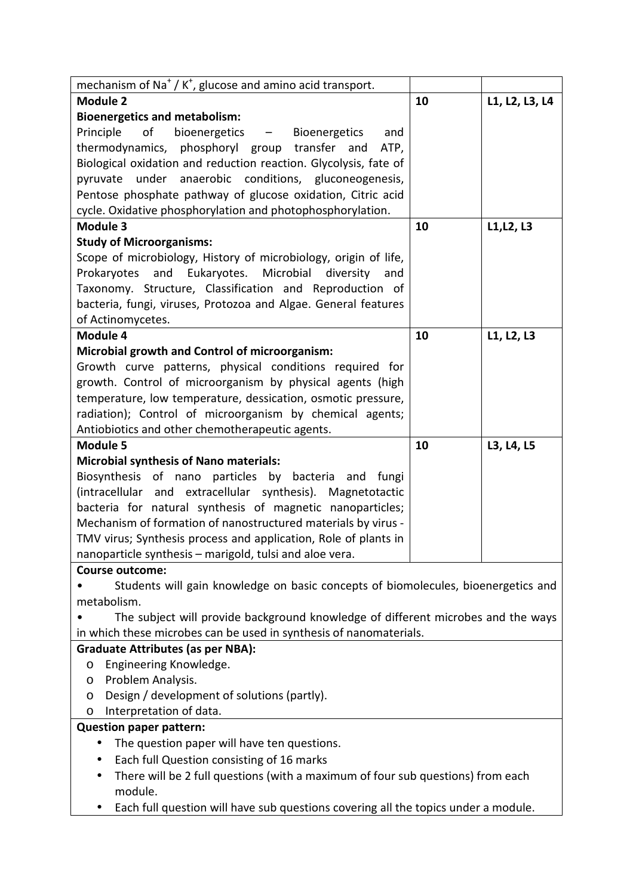| mechanism of Na <sup>+</sup> / K <sup>+</sup> , glucose and amino acid transport.  |    |                |
|------------------------------------------------------------------------------------|----|----------------|
| Module 2                                                                           | 10 | L1, L2, L3, L4 |
| <b>Bioenergetics and metabolism:</b>                                               |    |                |
| Principle<br>of<br>bioenergetics - Bioenergetics<br>and                            |    |                |
| thermodynamics, phosphoryl group transfer and<br>ATP,                              |    |                |
| Biological oxidation and reduction reaction. Glycolysis, fate of                   |    |                |
| pyruvate under anaerobic conditions, gluconeogenesis,                              |    |                |
| Pentose phosphate pathway of glucose oxidation, Citric acid                        |    |                |
| cycle. Oxidative phosphorylation and photophosphorylation.                         |    |                |
| <b>Module 3</b>                                                                    | 10 | L1, L2, L3     |
| <b>Study of Microorganisms:</b>                                                    |    |                |
| Scope of microbiology, History of microbiology, origin of life,                    |    |                |
| Prokaryotes and Eukaryotes. Microbial diversity<br>and                             |    |                |
| Taxonomy. Structure, Classification and Reproduction of                            |    |                |
| bacteria, fungi, viruses, Protozoa and Algae. General features                     |    |                |
| of Actinomycetes.<br>Module 4                                                      | 10 |                |
| Microbial growth and Control of microorganism:                                     |    | L1, L2, L3     |
| Growth curve patterns, physical conditions required for                            |    |                |
| growth. Control of microorganism by physical agents (high                          |    |                |
| temperature, low temperature, dessication, osmotic pressure,                       |    |                |
| radiation); Control of microorganism by chemical agents;                           |    |                |
| Antiobiotics and other chemotherapeutic agents.                                    |    |                |
| <b>Module 5</b>                                                                    | 10 | L3, L4, L5     |
| <b>Microbial synthesis of Nano materials:</b>                                      |    |                |
| Biosynthesis of nano particles by bacteria and fungi                               |    |                |
| (intracellular and extracellular synthesis). Magnetotactic                         |    |                |
| bacteria for natural synthesis of magnetic nanoparticles;                          |    |                |
| Mechanism of formation of nanostructured materials by virus -                      |    |                |
| TMV virus; Synthesis process and application, Role of plants in                    |    |                |
| nanoparticle synthesis - marigold, tulsi and aloe vera.                            |    |                |
| <b>Course outcome:</b>                                                             |    |                |
| Students will gain knowledge on basic concepts of biomolecules, bioenergetics and  |    |                |
| metabolism.                                                                        |    |                |
| The subject will provide background knowledge of different microbes and the ways   |    |                |
| in which these microbes can be used in synthesis of nanomaterials.                 |    |                |
| <b>Graduate Attributes (as per NBA):</b>                                           |    |                |
| Engineering Knowledge.<br>O                                                        |    |                |
| Problem Analysis.<br>O                                                             |    |                |
| Design / development of solutions (partly).<br>O                                   |    |                |
| Interpretation of data.<br>O                                                       |    |                |
| <b>Question paper pattern:</b>                                                     |    |                |
| The question paper will have ten questions.<br>$\bullet$                           |    |                |
| Each full Question consisting of 16 marks                                          |    |                |
| There will be 2 full questions (with a maximum of four sub questions) from each    |    |                |
| module.                                                                            |    |                |
| Each full question will have sub questions covering all the topics under a module. |    |                |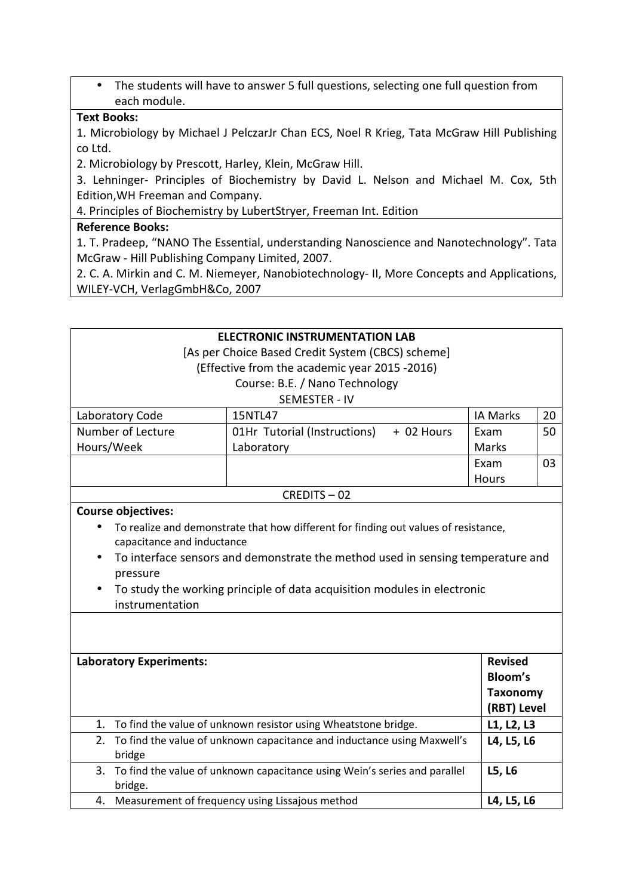• The students will have to answer 5 full questions, selecting one full question from each module.

#### **Text Books:**

1. Microbiology by Michael J PelczarJr Chan ECS, Noel R Krieg, Tata McGraw Hill Publishing co Ltd.

2. Microbiology by Prescott, Harley, Klein, McGraw Hill.

3. Lehninger- Principles of Biochemistry by David L. Nelson and Michael M. Cox, 5th Edition,WH Freeman and Company.

4. Principles of Biochemistry by LubertStryer, Freeman Int. Edition

# **Reference Books:**

1. T. Pradeep, "NANO The Essential, understanding Nanoscience and Nanotechnology". Tata McGraw - Hill Publishing Company Limited, 2007.

2. C. A. Mirkin and C. M. Niemeyer, Nanobiotechnology- II, More Concepts and Applications, WILEY-VCH, VerlagGmbH&Co, 2007

|                                                                                       | <b>ELECTRONIC INSTRUMENTATION LAB</b>                                               |                 |    |
|---------------------------------------------------------------------------------------|-------------------------------------------------------------------------------------|-----------------|----|
| [As per Choice Based Credit System (CBCS) scheme]                                     |                                                                                     |                 |    |
|                                                                                       | (Effective from the academic year 2015 -2016)                                       |                 |    |
|                                                                                       | Course: B.E. / Nano Technology                                                      |                 |    |
|                                                                                       | <b>SEMESTER - IV</b>                                                                |                 |    |
| Laboratory Code                                                                       | 15NTL47                                                                             | <b>IA Marks</b> | 20 |
| Number of Lecture                                                                     | 01Hr Tutorial (Instructions)<br>+ 02 Hours                                          | Exam            | 50 |
| Hours/Week                                                                            | Laboratory                                                                          | Marks           |    |
|                                                                                       |                                                                                     | Exam            | 03 |
|                                                                                       |                                                                                     | Hours           |    |
|                                                                                       | CREDITS-02                                                                          |                 |    |
| <b>Course objectives:</b>                                                             |                                                                                     |                 |    |
|                                                                                       | To realize and demonstrate that how different for finding out values of resistance, |                 |    |
| capacitance and inductance                                                            |                                                                                     |                 |    |
|                                                                                       | To interface sensors and demonstrate the method used in sensing temperature and     |                 |    |
| pressure                                                                              |                                                                                     |                 |    |
| To study the working principle of data acquisition modules in electronic<br>$\bullet$ |                                                                                     |                 |    |
| instrumentation                                                                       |                                                                                     |                 |    |
|                                                                                       |                                                                                     |                 |    |
|                                                                                       |                                                                                     |                 |    |
|                                                                                       |                                                                                     |                 |    |
| <b>Laboratory Experiments:</b>                                                        |                                                                                     | <b>Revised</b>  |    |
|                                                                                       |                                                                                     | Bloom's         |    |
|                                                                                       |                                                                                     | <b>Taxonomy</b> |    |
|                                                                                       |                                                                                     | (RBT) Level     |    |
|                                                                                       | 1. To find the value of unknown resistor using Wheatstone bridge.                   | L1, L2, L3      |    |
|                                                                                       | 2. To find the value of unknown capacitance and inductance using Maxwell's          | L4, L5, L6      |    |
| bridge                                                                                |                                                                                     |                 |    |
| 3.                                                                                    | To find the value of unknown capacitance using Wein's series and parallel           | L5, L6          |    |
| bridge.                                                                               |                                                                                     |                 |    |
|                                                                                       | 4. Measurement of frequency using Lissajous method                                  | L4, L5, L6      |    |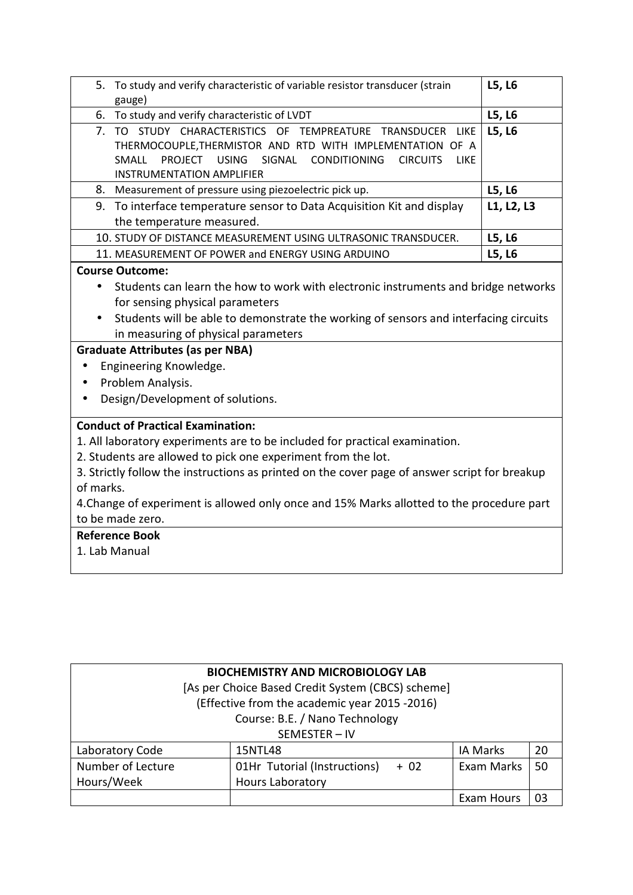| 5. To study and verify characteristic of variable resistor transducer (strain<br>gauge)                                                                                                                                                                                                                                                                                                                                                                                       | L5, L6     |  |
|-------------------------------------------------------------------------------------------------------------------------------------------------------------------------------------------------------------------------------------------------------------------------------------------------------------------------------------------------------------------------------------------------------------------------------------------------------------------------------|------------|--|
| 6. To study and verify characteristic of LVDT                                                                                                                                                                                                                                                                                                                                                                                                                                 | L5, L6     |  |
| 7. TO STUDY CHARACTERISTICS OF TEMPREATURE TRANSDUCER LIKE<br>THERMOCOUPLE, THERMISTOR AND RTD WITH IMPLEMENTATION OF A<br>USING SIGNAL CONDITIONING<br>SMALL<br>PROJECT<br><b>CIRCUITS</b><br>LIKE<br><b>INSTRUMENTATION AMPLIFIER</b>                                                                                                                                                                                                                                       | L5, L6     |  |
| 8. Measurement of pressure using piezoelectric pick up.                                                                                                                                                                                                                                                                                                                                                                                                                       | L5, L6     |  |
| 9. To interface temperature sensor to Data Acquisition Kit and display<br>the temperature measured.                                                                                                                                                                                                                                                                                                                                                                           | L1, L2, L3 |  |
| 10. STUDY OF DISTANCE MEASUREMENT USING ULTRASONIC TRANSDUCER.                                                                                                                                                                                                                                                                                                                                                                                                                | L5, L6     |  |
| 11. MEASUREMENT OF POWER and ENERGY USING ARDUINO                                                                                                                                                                                                                                                                                                                                                                                                                             | L5, L6     |  |
| <b>Course Outcome:</b><br>Students can learn the how to work with electronic instruments and bridge networks<br>$\bullet$<br>for sensing physical parameters<br>Students will be able to demonstrate the working of sensors and interfacing circuits<br>$\bullet$<br>in measuring of physical parameters<br><b>Graduate Attributes (as per NBA)</b><br>Engineering Knowledge.<br>$\bullet$<br>Problem Analysis.<br>$\bullet$<br>Design/Development of solutions.<br>$\bullet$ |            |  |
| <b>Conduct of Practical Examination:</b><br>1. All laboratory experiments are to be included for practical examination.<br>2. Students are allowed to pick one experiment from the lot.<br>3. Strictly follow the instructions as printed on the cover page of answer script for breakup<br>of marks.<br>4. Change of experiment is allowed only once and 15% Marks allotted to the procedure part<br>to be made zero.<br><b>Reference Book</b><br>1. Lab Manual              |            |  |

| <b>BIOCHEMISTRY AND MICROBIOLOGY LAB</b><br>[As per Choice Based Credit System (CBCS) scheme] |                                       |                   |    |
|-----------------------------------------------------------------------------------------------|---------------------------------------|-------------------|----|
| (Effective from the academic year 2015 -2016)                                                 |                                       |                   |    |
| Course: B.E. / Nano Technology                                                                |                                       |                   |    |
| SEMESTER-IV                                                                                   |                                       |                   |    |
| Laboratory Code                                                                               | 15NTL48                               | <b>IA Marks</b>   | 20 |
| Number of Lecture                                                                             | 01Hr Tutorial (Instructions)<br>$+02$ | Exam Marks        | 50 |
| Hours/Week                                                                                    | Hours Laboratory                      |                   |    |
|                                                                                               |                                       | <b>Exam Hours</b> |    |